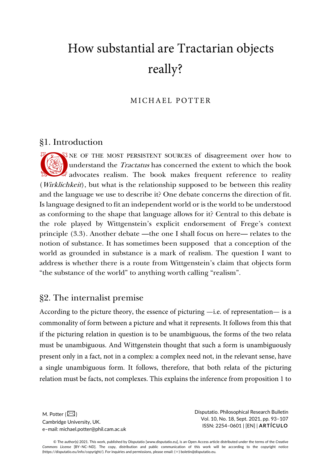# How substantial are Tractarian objects really?

# MICHAEL POTTER

# §1. Introduction

NE OF THE MOST PERSISTENT SOURCES of disagreement over how to understand the *Tractatus* has concerned the extent to which the book  $\mathcal A$  advocates realism. The book makes frequent reference to reality (*Wirklichkeit*), but what is the relationship supposed to be between this reality and the language we use to describe it? One debate concerns the direction of fit. Is language designed to fit an independent world or is the world to be understood as conforming to the shape that language allows for it? Central to this debate is the role played by Wittgenstein's explicit endorsement of Frege's context principle (3.3). Another debate —the one I shall focus on here— relates to the notion of substance. It has sometimes been supposed that a conception of the world as grounded in substance is a mark of realism. The question I want to address is whether there is a route from Wittgenstein's claim that objects form "the substance of the world" to anything worth calling "realism". CONSTRUCTION

# §2. The internalist premise

According to the picture theory, the essence of picturing —i.e. of representation— is a commonality of form between a picture and what it represents. It follows from this that if the picturing relation in question is to be unambiguous, the forms of the two relata must be unambiguous. And Wittgenstein thought that such a form is unambiguously present only in a fact, not in a complex: a complex need not, in the relevant sense, have a single unambiguous form. It follows, therefore, that both relata of the picturing relation must be facts, not complexes. This explains the inference from proposition 1 to

M. Potter  $(\boxtimes)$ Cambridge University, UK. e–mail: michael.potter@phil.cam.ac.uk Disputatio. Philosophical Research Bulletin Vol. 10, No. 18, Sept. 2021, pp. 93–107 ISSN: 2254–0601 | [EN] | **ARTÍCULO**

© The author(s) 2021. This work, published by Disputatio [www.disputatio.eu], is an Open Access article distributed under the terms of the *Creative Commons License* [BY–NC–ND]. The copy, distribution and public communication of this work will be according to the copyright notice (https://disputatio.eu/info/copyright/). For inquiries and permissions, please email: (✉) boletin@disputatio.eu.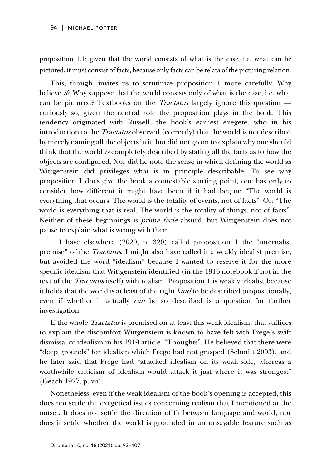proposition 1.1: given that the world consists of what is the case, i.e. what can be pictured, it must consist of facts, because only facts can be relata of the picturing relation.

This, though, invites us to scrutinize proposition 1 more carefully. Why believe *it*? Why suppose that the world consists only of what is the case, i.e. what can be pictured? Textbooks on the Tractatus largely ignore this question curiously so, given the central role the proposition plays in the book. This tendency originated with Russell, the book's earliest exegete, who in his introduction to the Tractatus observed (correctly) that the world is not described by merely naming all the objects in it, but did not go on to explain why one should think that the world is completely described by stating all the facts as to how the objects are configured. Nor did he note the sense in which defining the world as Wittgenstein did privileges what is in principle describable. To see why proposition 1 does give the book a contestable starting point, one has only to consider how different it might have been if it had begun: "The world is everything that occurs. The world is the totality of events, not of facts". Or: "The world is everything that is real. The world is the totality of things, not of facts". Neither of these beginnings is *prima facie* absurd, but Wittgenstein does not pause to explain what is wrong with them.

I have elsewhere (2020, p. 320) called proposition 1 the "internalist premise" of the Tractatus. I might also have called it a weakly idealist premise, but avoided the word "idealism" because I wanted to reserve it for the more specific idealism that Wittgenstein identified (in the 1916 notebook if not in the text of the Tractatus itself) with realism. Proposition 1 is weakly idealist because it holds that the world is at least of the right kind to be described propositionally, even if whether it actually can be so described is a question for further investigation.

If the whole *Tractatus* is premised on at least this weak idealism, that suffices to explain the discomfort Wittgenstein is known to have felt with Frege's swift dismissal of idealism in his 1919 article, "Thoughts". He believed that there were "deep grounds" for idealism which Frege had not grasped (Schmitt 2003), and he later said that Frege had "attacked idealism on its weak side, whereas a worthwhile criticism of idealism would attack it just where it was strongest" (Geach 1977, p. vii).

Nonetheless, even if the weak idealism of the book's opening is accepted, this does not settle the exegetical issues concerning realism that I mentioned at the outset. It does not settle the direction of fit between language and world, nor does it settle whether the world is grounded in an unsayable feature such as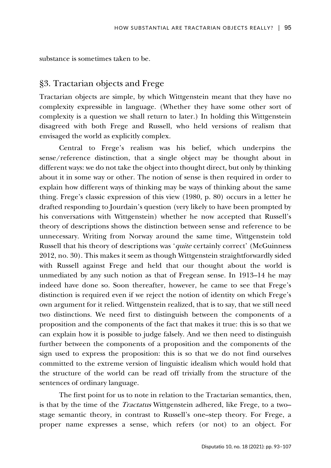substance is sometimes taken to be.

# §3. Tractarian objects and Frege

Tractarian objects are simple, by which Wittgenstein meant that they have no complexity expressible in language. (Whether they have some other sort of complexity is a question we shall return to later.) In holding this Wittgenstein disagreed with both Frege and Russell, who held versions of realism that envisaged the world as explicitly complex.

Central to Frege's realism was his belief, which underpins the sense/reference distinction, that a single object may be thought about in different ways: we do not take the object into thought direct, but only by thinking about it in some way or other. The notion of sense is then required in order to explain how different ways of thinking may be ways of thinking about the same thing. Frege's classic expression of this view (1980, p. 80) occurs in a letter he drafted responding to Jourdain's question (very likely to have been prompted by his conversations with Wittgenstein) whether he now accepted that Russell's theory of descriptions shows the distinction between sense and reference to be unnecessary. Writing from Norway around the same time, Wittgenstein told Russell that his theory of descriptions was 'quite certainly correct' (McGuinness 2012, no. 30). This makes it seem as though Wittgenstein straightforwardly sided with Russell against Frege and held that our thought about the world is unmediated by any such notion as that of Fregean sense. In 1913–14 he may indeed have done so. Soon thereafter, however, he came to see that Frege's distinction is required even if we reject the notion of identity on which Frege's own argument for it relied. Wittgenstein realized, that is to say, that we still need two distinctions. We need first to distinguish between the components of a proposition and the components of the fact that makes it true: this is so that we can explain how it is possible to judge falsely. And we then need to distinguish further between the components of a proposition and the components of the sign used to express the proposition: this is so that we do not find ourselves committed to the extreme version of linguistic idealism which would hold that the structure of the world can be read off trivially from the structure of the sentences of ordinary language.

The first point for us to note in relation to the Tractarian semantics, then, is that by the time of the Tractatus Wittgenstein adhered, like Frege, to a two– stage semantic theory, in contrast to Russell's one–step theory. For Frege, a proper name expresses a sense, which refers (or not) to an object. For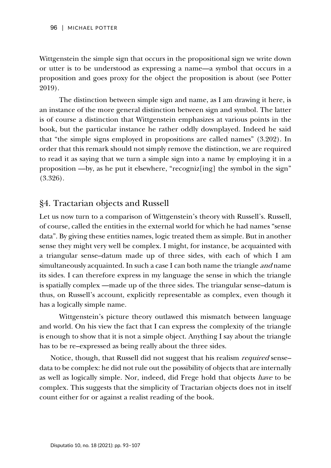Wittgenstein the simple sign that occurs in the propositional sign we write down or utter is to be understood as expressing a name—a symbol that occurs in a proposition and goes proxy for the object the proposition is about (see Potter 2019).

The distinction between simple sign and name, as I am drawing it here, is an instance of the more general distinction between sign and symbol. The latter is of course a distinction that Wittgenstein emphasizes at various points in the book, but the particular instance he rather oddly downplayed. Indeed he said that "the simple signs employed in propositions are called names" (3.202). In order that this remark should not simply remove the distinction, we are required to read it as saying that we turn a simple sign into a name by employing it in a proposition —by, as he put it elsewhere, "recogniz[ing] the symbol in the sign" (3.326).

# §4. Tractarian objects and Russell

Let us now turn to a comparison of Wittgenstein's theory with Russell's. Russell, of course, called the entities in the external world for which he had names "sense data". By giving these entities names, logic treated them as simple. But in another sense they might very well be complex. I might, for instance, be acquainted with a triangular sense–datum made up of three sides, with each of which I am simultaneously acquainted. In such a case I can both name the triangle *and* name its sides. I can therefore express in my language the sense in which the triangle is spatially complex —made up of the three sides. The triangular sense–datum is thus, on Russell's account, explicitly representable as complex, even though it has a logically simple name.

Wittgenstein's picture theory outlawed this mismatch between language and world. On his view the fact that I can express the complexity of the triangle is enough to show that it is not a simple object. Anything I say about the triangle has to be re–expressed as being really about the three sides.

Notice, though, that Russell did not suggest that his realism *required* sense– data to be complex: he did not rule out the possibility of objects that are internally as well as logically simple. Nor, indeed, did Frege hold that objects have to be complex. This suggests that the simplicity of Tractarian objects does not in itself count either for or against a realist reading of the book.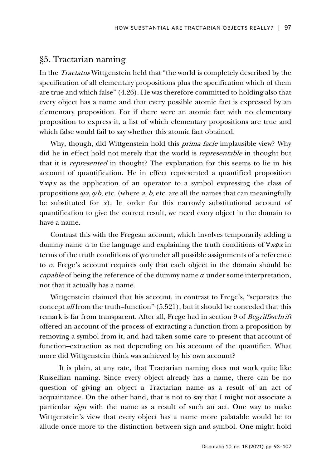# §5. Tractarian naming

In the Tractatus Wittgenstein held that "the world is completely described by the specification of all elementary propositions plus the specification which of them are true and which false" (4.26). He was therefore committed to holding also that every object has a name and that every possible atomic fact is expressed by an elementary proposition. For if there were an atomic fact with no elementary proposition to express it, a list of which elementary propositions are true and which false would fail to say whether this atomic fact obtained.

Why, though, did Wittgenstein hold this *prima facie* implausible view? Why did he in effect hold not merely that the world is *representable* in thought but that it is represented in thought? The explanation for this seems to lie in his account of quantification. He in effect represented a quantified proposition  $\forall x \varphi x$  as the application of an operator to a symbol expressing the class of propositions  $\varphi$ *a*,  $\varphi$ *b*, etc. (where *a*, *b*, etc. are all the names that can meaningfully be substituted for  $x$ ). In order for this narrowly substitutional account of quantification to give the correct result, we need every object in the domain to have a name.

Contrast this with the Fregean account, which involves temporarily adding a dummy name  $\alpha$  to the language and explaining the truth conditions of  $\forall x \varphi x$  in terms of the truth conditions of  $\varphi \alpha$  under all possible assignments of a reference to *α*. Frege's account requires only that each object in the domain should be *capable* of being the reference of the dummy name  $\alpha$  under some interpretation, not that it actually has a name.

Wittgenstein claimed that his account, in contrast to Frege's, "separates the concept all from the truth–function" (5.521), but it should be conceded that this remark is far from transparent. After all, Frege had in section 9 of Begriffsschrift offered an account of the process of extracting a function from a proposition by removing a symbol from it, and had taken some care to present that account of function–extraction as not depending on his account of the quantifier. What more did Wittgenstein think was achieved by his own account?

It is plain, at any rate, that Tractarian naming does not work quite like Russellian naming. Since every object already has a name, there can be no question of giving an object a Tractarian name as a result of an act of acquaintance. On the other hand, that is not to say that I might not associate a particular *sign* with the name as a result of such an act. One way to make Wittgenstein's view that every object has a name more palatable would be to allude once more to the distinction between sign and symbol. One might hold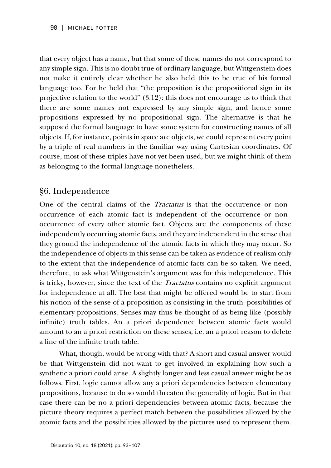that every object has a name, but that some of these names do not correspond to any simple sign. This is no doubt true of ordinary language, but Wittgenstein does not make it entirely clear whether he also held this to be true of his formal language too. For he held that "the proposition is the propositional sign in its projective relation to the world" (3.12): this does not encourage us to think that there are some names not expressed by any simple sign, and hence some propositions expressed by no propositional sign. The alternative is that he supposed the formal language to have some system for constructing names of all objects. If, for instance, points in space are objects, we could represent every point by a triple of real numbers in the familiar way using Cartesian coordinates. Of course, most of these triples have not yet been used, but we might think of them as belonging to the formal language nonetheless.

# §6. Independence

One of the central claims of the Tractatus is that the occurrence or non– occurrence of each atomic fact is independent of the occurrence or non– occurrence of every other atomic fact. Objects are the components of these independently occurring atomic facts, and they are independent in the sense that they ground the independence of the atomic facts in which they may occur. So the independence of objects in this sense can be taken as evidence of realism only to the extent that the independence of atomic facts can be so taken. We need, therefore, to ask what Wittgenstein's argument was for this independence. This is tricky, however, since the text of the Tractatus contains no explicit argument for independence at all. The best that might be offered would be to start from his notion of the sense of a proposition as consisting in the truth–possibilities of elementary propositions. Senses may thus be thought of as being like (possibly infinite) truth tables. An a priori dependence between atomic facts would amount to an a priori restriction on these senses, i.e. an a priori reason to delete a line of the infinite truth table.

What, though, would be wrong with that? A short and casual answer would be that Wittgenstein did not want to get involved in explaining how such a synthetic a priori could arise. A slightly longer and less casual answer might be as follows. First, logic cannot allow any a priori dependencies between elementary propositions, because to do so would threaten the generality of logic. But in that case there can be no a priori dependencies between atomic facts, because the picture theory requires a perfect match between the possibilities allowed by the atomic facts and the possibilities allowed by the pictures used to represent them.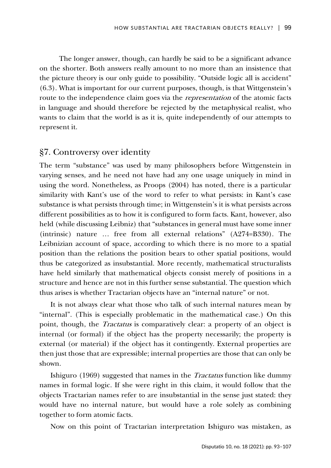The longer answer, though, can hardly be said to be a significant advance on the shorter. Both answers really amount to no more than an insistence that the picture theory is our only guide to possibility. "Outside logic all is accident" (6.3). What is important for our current purposes, though, is that Wittgenstein's route to the independence claim goes via the *representation* of the atomic facts in language and should therefore be rejected by the metaphysical realist, who wants to claim that the world is as it is, quite independently of our attempts to represent it.

### §7. Controversy over identity

The term "substance" was used by many philosophers before Wittgenstein in varying senses, and he need not have had any one usage uniquely in mind in using the word. Nonetheless, as Proops (2004) has noted, there is a particular similarity with Kant's use of the word to refer to what persists: in Kant's case substance is what persists through time; in Wittgenstein's it is what persists across different possibilities as to how it is configured to form facts. Kant, however, also held (while discussing Leibniz) that "substances in general must have some inner (intrinsic) nature … free from all external relations" (A274=B330). The Leibnizian account of space, according to which there is no more to a spatial position than the relations the position bears to other spatial positions, would thus be categorized as insubstantial. More recently, mathematical structuralists have held similarly that mathematical objects consist merely of positions in a structure and hence are not in this further sense substantial. The question which thus arises is whether Tractarian objects have an "internal nature" or not.

It is not always clear what those who talk of such internal natures mean by "internal". (This is especially problematic in the mathematical case.) On this point, though, the *Tractatus* is comparatively clear: a property of an object is internal (or formal) if the object has the property necessarily; the property is external (or material) if the object has it contingently. External properties are then just those that are expressible; internal properties are those that can only be shown.

Ishiguro (1969) suggested that names in the Tractatus function like dummy names in formal logic. If she were right in this claim, it would follow that the objects Tractarian names refer to are insubstantial in the sense just stated: they would have no internal nature, but would have a role solely as combining together to form atomic facts.

Now on this point of Tractarian interpretation Ishiguro was mistaken, as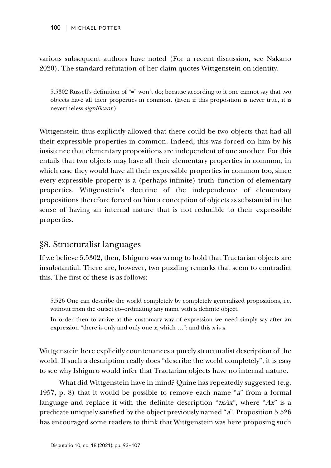various subsequent authors have noted (For a recent discussion, see Nakano 2020). The standard refutation of her claim quotes Wittgenstein on identity.

5.5302 Russell's definition of "=" won't do; because according to it one cannot say that two objects have all their properties in common. (Even if this proposition is never true, it is nevertheless significant.)

Wittgenstein thus explicitly allowed that there could be two objects that had all their expressible properties in common. Indeed, this was forced on him by his insistence that elementary propositions are independent of one another. For this entails that two objects may have all their elementary properties in common, in which case they would have all their expressible properties in common too, since every expressible property is a (perhaps infinite) truth–function of elementary properties. Wittgenstein's doctrine of the independence of elementary propositions therefore forced on him a conception of objects as substantial in the sense of having an internal nature that is not reducible to their expressible properties.

# §8. Structuralist languages

If we believe 5.5302, then, Ishiguro was wrong to hold that Tractarian objects are insubstantial. There are, however, two puzzling remarks that seem to contradict this. The first of these is as follows:

5.526 One can describe the world completely by completely generalized propositions, i.e. without from the outset co–ordinating any name with a definite object.

In order then to arrive at the customary way of expression we need simply say after an expression "there is only and only one  $x$ , which ...": and this  $x$  is  $a$ .

Wittgenstein here explicitly countenances a purely structuralist description of the world. If such a description really does "describe the world completely", it is easy to see why Ishiguro would infer that Tractarian objects have no internal nature.

What did Wittgenstein have in mind? Quine has repeatedly suggested (e.g. 1957, p. 8) that it would be possible to remove each name "a" from a formal language and replace it with the definite description " $\alpha$ x $\alpha$ ", where "Ax" is a predicate uniquely satisfied by the object previously named "a". Proposition 5.526 has encouraged some readers to think that Wittgenstein was here proposing such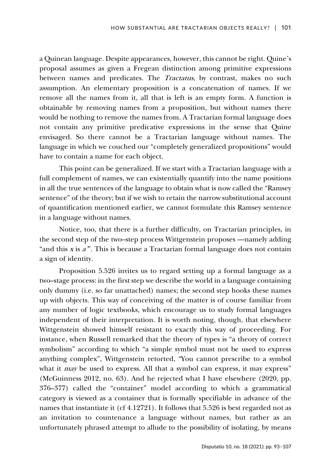a Quinean language. Despite appearances, however, this cannot be right. Quine's proposal assumes as given a Fregean distinction among primitive expressions between names and predicates. The Tractatus, by contrast, makes no such assumption. An elementary proposition is a concatenation of names. If we remove all the names from it, all that is left is an empty form. A function is obtainable by removing names from a proposition, but without names there would be nothing to remove the names from. A Tractarian formal language does not contain any primitive predicative expressions in the sense that Quine envisaged. So there cannot be a Tractarian language without names. The language in which we couched our "completely generalized propositions" would have to contain a name for each object.

This point can be generalized. If we start with a Tractarian language with a full complement of names, we can existentially quantify into the name positions in all the true sentences of the language to obtain what is now called the "Ramsey sentence" of the theory; but if we wish to retain the narrow substitutional account of quantification mentioned earlier, we cannot formulate this Ramsey sentence in a language without names.

Notice, too, that there is a further difficulty, on Tractarian principles, in the second step of the two–step process Wittgenstein proposes —namely adding "and this  $x$  is  $a$ ". This is because a Tractarian formal language does not contain a sign of identity.

Proposition 5.526 invites us to regard setting up a formal language as a two–stage process: in the first step we describe the world in a language containing only dummy (i.e. so far unattached) names; the second step hooks these names up with objects. This way of conceiving of the matter is of course familiar from any number of logic textbooks, which encourage us to study formal languages independent of their interpretation. It is worth noting, though, that elsewhere Wittgenstein showed himself resistant to exactly this way of proceeding. For instance, when Russell remarked that the theory of types is "a theory of correct symbolism" according to which "a simple symbol must not be used to express anything complex", Wittgenstein retorted, "You cannot prescribe to a symbol what it *may* be used to express. All that a symbol can express, it may express" (McGuinness 2012, no. 63). And he rejected what I have elsewhere (2020, pp. 376–377) called the "container" model according to which a grammatical category is viewed as a container that is formally specifiable in advance of the names that instantiate it (cf 4.12721). It follows that 5.526 is best regarded not as an invitation to countenance a language without names, but rather as an unfortunately phrased attempt to allude to the possibility of isolating, by means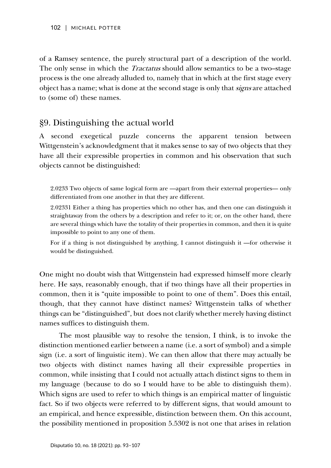of a Ramsey sentence, the purely structural part of a description of the world. The only sense in which the *Tractatus* should allow semantics to be a two–stage process is the one already alluded to, namely that in which at the first stage every object has a name; what is done at the second stage is only that *signs* are attached to (some of) these names.

# §9. Distinguishing the actual world

A second exegetical puzzle concerns the apparent tension between Wittgenstein's acknowledgment that it makes sense to say of two objects that they have all their expressible properties in common and his observation that such objects cannot be distinguished:

2.0233 Two objects of same logical form are —apart from their external properties— only differentiated from one another in that they are different.

2.02331 Either a thing has properties which no other has, and then one can distinguish it straightaway from the others by a description and refer to it; or, on the other hand, there are several things which have the totality of their properties in common, and then it is quite impossible to point to any one of them.

For if a thing is not distinguished by anything, I cannot distinguish it —for otherwise it would be distinguished.

One might no doubt wish that Wittgenstein had expressed himself more clearly here. He says, reasonably enough, that if two things have all their properties in common, then it is "quite impossible to point to one of them". Does this entail, though, that they cannot have distinct names? Wittgenstein talks of whether things can be "distinguished", but does not clarify whether merely having distinct names suffices to distinguish them.

The most plausible way to resolve the tension, I think, is to invoke the distinction mentioned earlier between a name (i.e. a sort of symbol) and a simple sign (i.e. a sort of linguistic item). We can then allow that there may actually be two objects with distinct names having all their expressible properties in common, while insisting that I could not actually attach distinct signs to them in my language (because to do so I would have to be able to distinguish them). Which signs are used to refer to which things is an empirical matter of linguistic fact. So if two objects were referred to by different signs, that would amount to an empirical, and hence expressible, distinction between them. On this account, the possibility mentioned in proposition 5.5302 is not one that arises in relation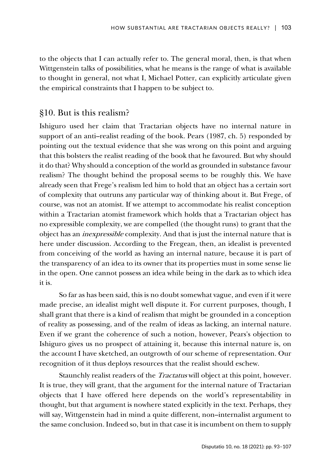to the objects that I can actually refer to. The general moral, then, is that when Wittgenstein talks of possibilities, what he means is the range of what is available to thought in general, not what I, Michael Potter, can explicitly articulate given the empirical constraints that I happen to be subject to.

# §10. But is this realism?

Ishiguro used her claim that Tractarian objects have no internal nature in support of an anti–realist reading of the book. Pears (1987, ch. 5) responded by pointing out the textual evidence that she was wrong on this point and arguing that this bolsters the realist reading of the book that he favoured. But why should it do that? Why should a conception of the world as grounded in substance favour realism? The thought behind the proposal seems to be roughly this. We have already seen that Frege's realism led him to hold that an object has a certain sort of complexity that outruns any particular way of thinking about it. But Frege, of course, was not an atomist. If we attempt to accommodate his realist conception within a Tractarian atomist framework which holds that a Tractarian object has no expressible complexity, we are compelled (the thought runs) to grant that the object has an inexpressible complexity. And that is just the internal nature that is here under discussion. According to the Fregean, then, an idealist is prevented from conceiving of the world as having an internal nature, because it is part of the transparency of an idea to its owner that its properties must in some sense lie in the open. One cannot possess an idea while being in the dark as to which idea it is.

So far as has been said, this is no doubt somewhat vague, and even if it were made precise, an idealist might well dispute it. For current purposes, though, I shall grant that there is a kind of realism that might be grounded in a conception of reality as possessing, and of the realm of ideas as lacking, an internal nature. Even if we grant the coherence of such a notion, however, Pears's objection to Ishiguro gives us no prospect of attaining it, because this internal nature is, on the account I have sketched, an outgrowth of our scheme of representation. Our recognition of it thus deploys resources that the realist should eschew.

Staunchly realist readers of the Tractatus will object at this point, however. It is true, they will grant, that the argument for the internal nature of Tractarian objects that I have offered here depends on the world's representability in thought, but that argument is nowhere stated explicitly in the text. Perhaps, they will say, Wittgenstein had in mind a quite different, non–internalist argument to the same conclusion. Indeed so, but in that case it is incumbent on them to supply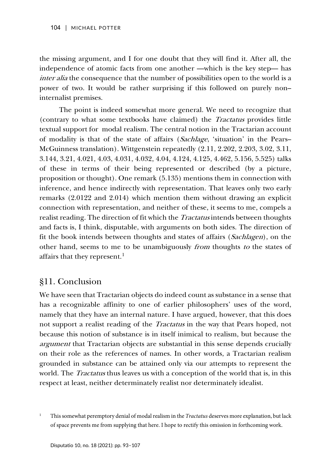the missing argument, and I for one doubt that they will find it. After all, the independence of atomic facts from one another —which is the key step— has inter alia the consequence that the number of possibilities open to the world is a power of two. It would be rather surprising if this followed on purely non– internalist premises.

The point is indeed somewhat more general. We need to recognize that (contrary to what some textbooks have claimed) the Tractatus provides little textual support for modal realism. The central notion in the Tractarian account of modality is that of the state of affairs (Sachlage, 'situation' in the Pears– McGuinness translation). Wittgenstein repeatedly (2.11, 2.202, 2.203, 3.02, 3.11, 3.144, 3.21, 4.021, 4.03, 4.031, 4.032, 4.04, 4.124, 4.125, 4.462, 5.156, 5.525) talks of these in terms of their being represented or described (by a picture, proposition or thought). One remark (5.135) mentions them in connection with inference, and hence indirectly with representation. That leaves only two early remarks (2.0122 and 2.014) which mention them without drawing an explicit connection with representation, and neither of these, it seems to me, compels a realist reading. The direction of fit which the *Tractatus* intends between thoughts and facts is, I think, disputable, with arguments on both sides. The direction of fit the book intends between thoughts and states of affairs (Sachlagen), on the other hand, seems to me to be unambiguously *from* thoughts to the states of affairs that they represent.<sup>[1](#page-11-0)</sup>

### §11. Conclusion

We have seen that Tractarian objects do indeed count as substance in a sense that has a recognizable affinity to one of earlier philosophers' uses of the word, namely that they have an internal nature. I have argued, however, that this does not support a realist reading of the *Tractatus* in the way that Pears hoped, not because this notion of substance is in itself inimical to realism, but because the argument that Tractarian objects are substantial in this sense depends crucially on their role as the references of names. In other words, a Tractarian realism grounded in substance can be attained only via our attempts to represent the world. The *Tractatus* thus leaves us with a conception of the world that is, in this respect at least, neither determinately realist nor determinately idealist.

<span id="page-11-0"></span><sup>1</sup> This somewhat peremptory denial of modal realism in the *Tractatus* deserves more explanation, but lack of space prevents me from supplying that here. I hope to rectify this omission in forthcoming work.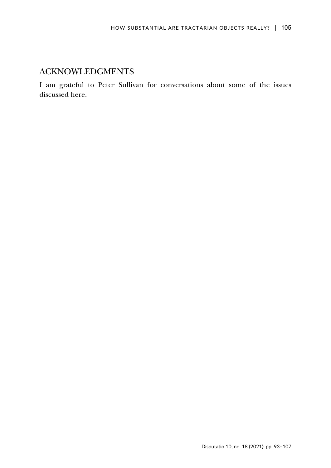# ACKNOWLEDGMENTS

I am grateful to Peter Sullivan for conversations about some of the issues discussed here.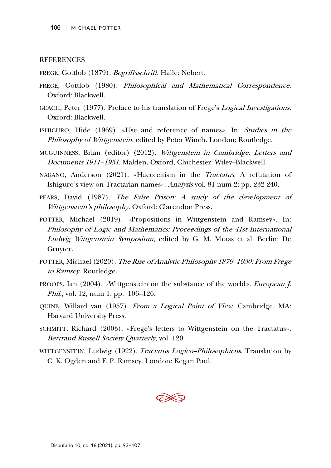### REFERENCES

FREGE, Gottlob (1879). Begriffsschrift. Halle: Nebert.

- FREGE, Gottlob (1980). Philosophical and Mathematical Correspondence. Oxford: Blackwell.
- GEACH, Peter (1977). Preface to his translation of Frege's Logical Investigations. Oxford: Blackwell.
- ISHIGURO, Hide (1969). «Use and reference of names». In: Studies in the Philosophy of Wittgenstein, edited by Peter Winch. London: Routledge.
- MCGUINNESS, Brian (editor) (2012). Wittgenstein in Cambridge: Letters and Documents 1911–1951. Malden, Oxford, Chichester: Wiley–Blackwell.
- NAKANO, Anderson (2021). «Haecceitism in the Tractatus: A refutation of Ishiguro's view on Tractarian names». Analysis vol. 81 num 2: pp. 232-240.
- PEARS, David (1987). The False Prison: A study of the development of Wittgenstein's philosophy. Oxford: Clarendon Press.
- POTTER, Michael (2019). «Propositions in Wittgenstein and Ramsey». In: Philosophy of Logic and Mathematics: Proceedings of the 41st International Ludwig Wittgenstein Symposium, edited by G. M. Mraas et al. Berlin: De Gruyter.
- POTTER, Michael (2020). The Rise of Analytic Philosophy 1879–1930: From Frege to Ramsey. Routledge.
- PROOPS, Ian (2004). «Wittgenstein on the substance of the world». European J. *Phil.*, vol. 12, num 1: pp. 106–126.
- QUINE, Willard van (1957). From a Logical Point of View. Cambridge, MA: Harvard University Press.
- SCHMITT, Richard (2003). «Frege's letters to Wittgenstein on the Tractatus». Bertrand Russell Society Quarterly, vol. 120.
- WITTGENSTEIN, Ludwig (1922). Tractatus Logico–Philosophicus. Translation by C. K. Ogden and F. P. Ramsey. London: Kegan Paul.